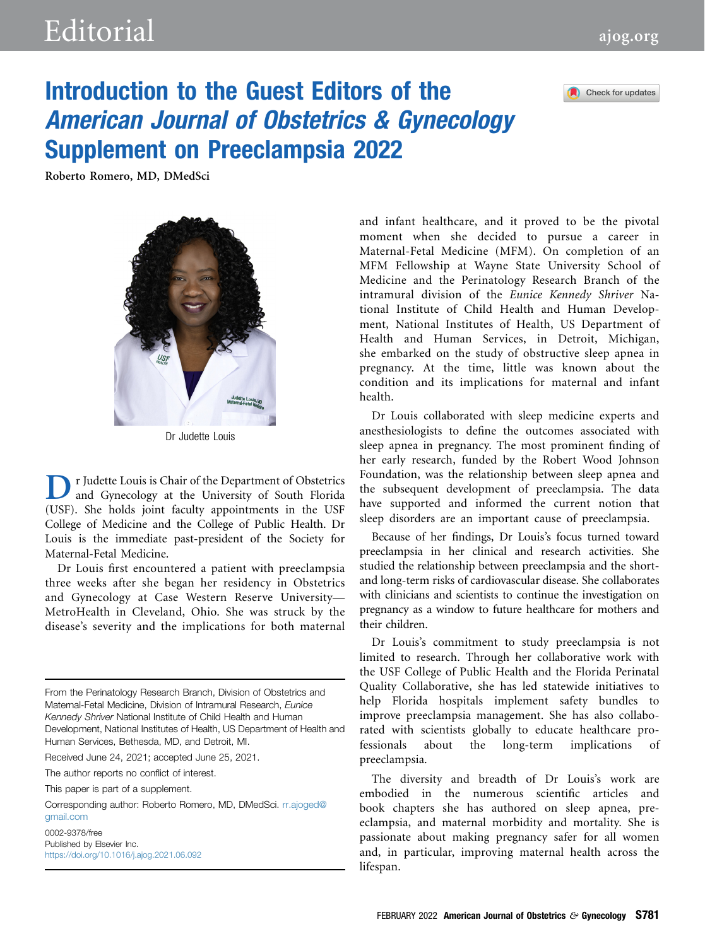

## Introduction to the Guest Editors of the American Journal of Obstetrics & Gynecology Supplement on Preeclampsia 2022

Roberto Romero, MD, DMedSci



Dr Judette Louis

r Judette Louis is Chair of the Department of Obstetrics and Gynecology at the University of South Florida (USF). She holds joint faculty appointments in the USF College of Medicine and the College of Public Health. Dr Louis is the immediate past-president of the Society for Maternal-Fetal Medicine.

Dr Louis first encountered a patient with preeclampsia three weeks after she began her residency in Obstetrics and Gynecology at Case Western Reserve University— MetroHealth in Cleveland, Ohio. She was struck by the disease's severity and the implications for both maternal

From the Perinatology Research Branch, Division of Obstetrics and Maternal-Fetal Medicine, Division of Intramural Research, Eunice Kennedy Shriver National Institute of Child Health and Human Development, National Institutes of Health, US Department of Health and Human Services, Bethesda, MD, and Detroit, MI.

Received June 24, 2021; accepted June 25, 2021.

The author reports no conflict of interest.

This paper is part of a supplement.

Corresponding author: Roberto Romero, MD, DMedSci. [rr.ajoged@](mailto:rr.ajoged@gmail.com) [gmail.com](mailto:rr.ajoged@gmail.com)

0002-9378/free Published by Elsevier Inc. <https://doi.org/10.1016/j.ajog.2021.06.092> and infant healthcare, and it proved to be the pivotal moment when she decided to pursue a career in Maternal-Fetal Medicine (MFM). On completion of an MFM Fellowship at Wayne State University School of Medicine and the Perinatology Research Branch of the intramural division of the Eunice Kennedy Shriver National Institute of Child Health and Human Development, National Institutes of Health, US Department of Health and Human Services, in Detroit, Michigan, she embarked on the study of obstructive sleep apnea in pregnancy. At the time, little was known about the condition and its implications for maternal and infant health.

Dr Louis collaborated with sleep medicine experts and anesthesiologists to define the outcomes associated with sleep apnea in pregnancy. The most prominent finding of her early research, funded by the Robert Wood Johnson Foundation, was the relationship between sleep apnea and the subsequent development of preeclampsia. The data have supported and informed the current notion that sleep disorders are an important cause of preeclampsia.

Because of her findings, Dr Louis's focus turned toward preeclampsia in her clinical and research activities. She studied the relationship between preeclampsia and the shortand long-term risks of cardiovascular disease. She collaborates with clinicians and scientists to continue the investigation on pregnancy as a window to future healthcare for mothers and their children.

Dr Louis's commitment to study preeclampsia is not limited to research. Through her collaborative work with the USF College of Public Health and the Florida Perinatal Quality Collaborative, she has led statewide initiatives to help Florida hospitals implement safety bundles to improve preeclampsia management. She has also collaborated with scientists globally to educate healthcare professionals about the long-term implications of preeclampsia.

The diversity and breadth of Dr Louis's work are embodied in the numerous scientific articles and book chapters she has authored on sleep apnea, preeclampsia, and maternal morbidity and mortality. She is passionate about making pregnancy safer for all women and, in particular, improving maternal health across the lifespan.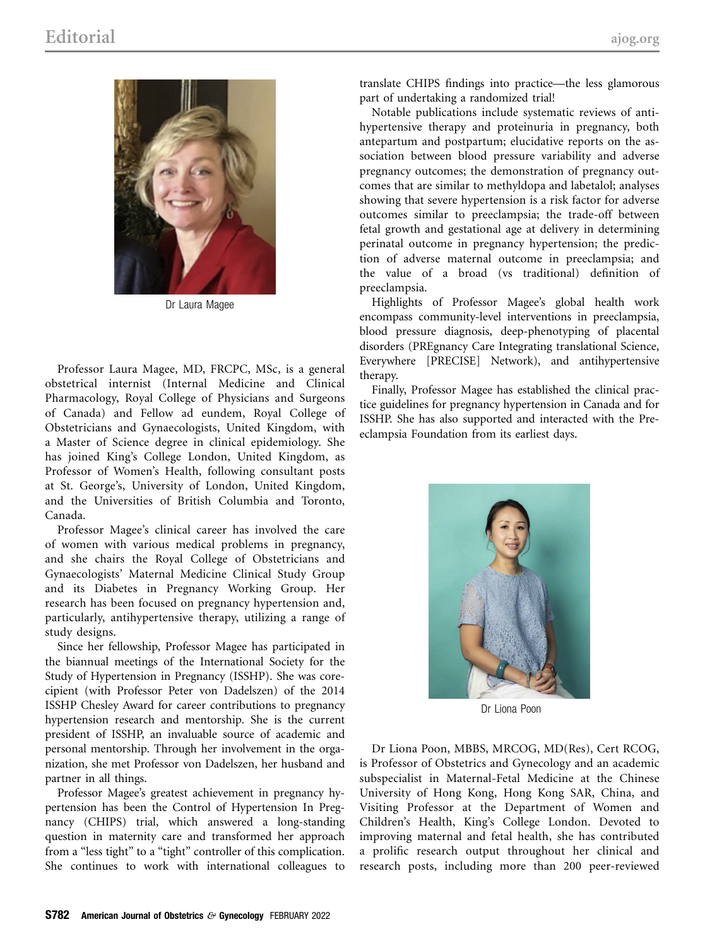

Dr Laura Magee

Professor Laura Magee, MD, FRCPC, MSc, is a general obstetrical internist (Internal Medicine and Clinical Pharmacology, Royal College of Physicians and Surgeons of Canada) and Fellow ad eundem, Royal College of Obstetricians and Gynaecologists, United Kingdom, with a Master of Science degree in clinical epidemiology. She has joined King's College London, United Kingdom, as Professor of Women's Health, following consultant posts at St. George's, University of London, United Kingdom, and the Universities of British Columbia and Toronto, Canada.

Professor Magee's clinical career has involved the care of women with various medical problems in pregnancy, and she chairs the Royal College of Obstetricians and Gynaecologists' Maternal Medicine Clinical Study Group and its Diabetes in Pregnancy Working Group. Her research has been focused on pregnancy hypertension and, particularly, antihypertensive therapy, utilizing a range of study designs.

Since her fellowship, Professor Magee has participated in the biannual meetings of the International Society for the Study of Hypertension in Pregnancy (ISSHP). She was corecipient (with Professor Peter von Dadelszen) of the 2014 ISSHP Chesley Award for career contributions to pregnancy hypertension research and mentorship. She is the current president of ISSHP, an invaluable source of academic and personal mentorship. Through her involvement in the organization, she met Professor von Dadelszen, her husband and partner in all things.

Professor Magee's greatest achievement in pregnancy hypertension has been the Control of Hypertension In Pregnancy (CHIPS) trial, which answered a long-standing question in maternity care and transformed her approach from a "less tight" to a "tight" controller of this complication. She continues to work with international colleagues to translate CHIPS findings into practice—the less glamorous part of undertaking a randomized trial!

Notable publications include systematic reviews of antihypertensive therapy and proteinuria in pregnancy, both antepartum and postpartum; elucidative reports on the association between blood pressure variability and adverse pregnancy outcomes; the demonstration of pregnancy outcomes that are similar to methyldopa and labetalol; analyses showing that severe hypertension is a risk factor for adverse outcomes similar to preeclampsia; the trade-off between fetal growth and gestational age at delivery in determining perinatal outcome in pregnancy hypertension; the prediction of adverse maternal outcome in preeclampsia; and the value of a broad (vs traditional) definition of preeclampsia.

Highlights of Professor Magee's global health work encompass community-level interventions in preeclampsia, blood pressure diagnosis, deep-phenotyping of placental disorders (PREgnancy Care Integrating translational Science, Everywhere [PRECISE] Network), and antihypertensive therapy.

Finally, Professor Magee has established the clinical practice guidelines for pregnancy hypertension in Canada and for ISSHP. She has also supported and interacted with the Preeclampsia Foundation from its earliest days.



Dr Liona Poon

Dr Liona Poon, MBBS, MRCOG, MD(Res), Cert RCOG, is Professor of Obstetrics and Gynecology and an academic subspecialist in Maternal-Fetal Medicine at the Chinese University of Hong Kong, Hong Kong SAR, China, and Visiting Professor at the Department of Women and Children's Health, King's College London. Devoted to improving maternal and fetal health, she has contributed a prolific research output throughout her clinical and research posts, including more than 200 peer-reviewed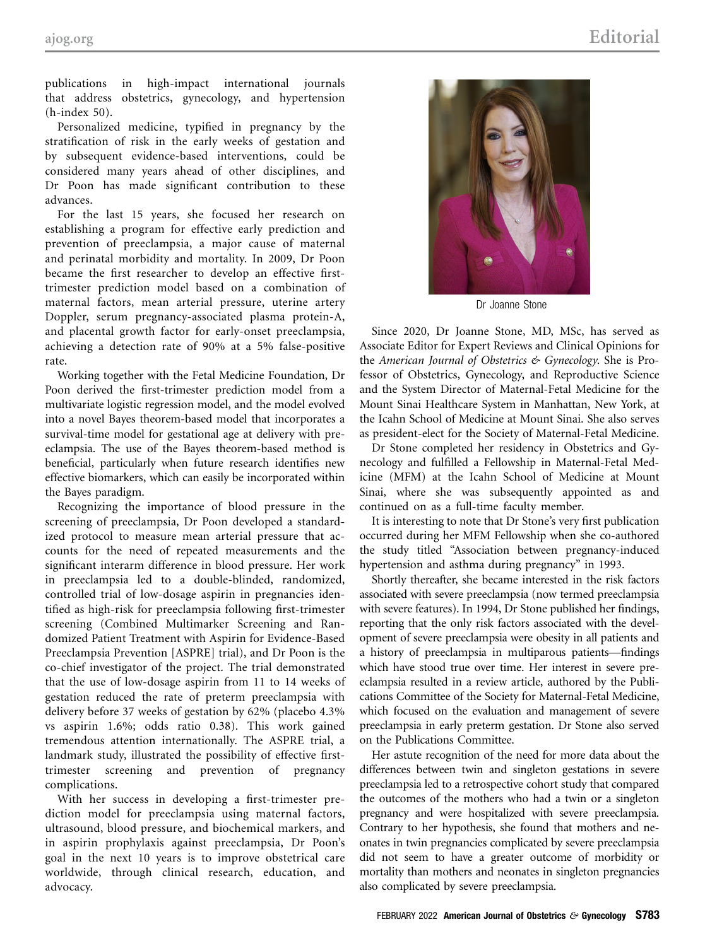publications in high-impact international journals that address obstetrics, gynecology, and hypertension (h-index 50).

Personalized medicine, typified in pregnancy by the stratification of risk in the early weeks of gestation and by subsequent evidence-based interventions, could be considered many years ahead of other disciplines, and Dr Poon has made significant contribution to these advances.

For the last 15 years, she focused her research on establishing a program for effective early prediction and prevention of preeclampsia, a major cause of maternal and perinatal morbidity and mortality. In 2009, Dr Poon became the first researcher to develop an effective firsttrimester prediction model based on a combination of maternal factors, mean arterial pressure, uterine artery Doppler, serum pregnancy-associated plasma protein-A, and placental growth factor for early-onset preeclampsia, achieving a detection rate of 90% at a 5% false-positive rate.

Working together with the Fetal Medicine Foundation, Dr Poon derived the first-trimester prediction model from a multivariate logistic regression model, and the model evolved into a novel Bayes theorem-based model that incorporates a survival-time model for gestational age at delivery with preeclampsia. The use of the Bayes theorem-based method is beneficial, particularly when future research identifies new effective biomarkers, which can easily be incorporated within the Bayes paradigm.

Recognizing the importance of blood pressure in the screening of preeclampsia, Dr Poon developed a standardized protocol to measure mean arterial pressure that accounts for the need of repeated measurements and the significant interarm difference in blood pressure. Her work in preeclampsia led to a double-blinded, randomized, controlled trial of low-dosage aspirin in pregnancies identified as high-risk for preeclampsia following first-trimester screening (Combined Multimarker Screening and Randomized Patient Treatment with Aspirin for Evidence-Based Preeclampsia Prevention [ASPRE] trial), and Dr Poon is the co-chief investigator of the project. The trial demonstrated that the use of low-dosage aspirin from 11 to 14 weeks of gestation reduced the rate of preterm preeclampsia with delivery before 37 weeks of gestation by 62% (placebo 4.3% vs aspirin 1.6%; odds ratio 0.38). This work gained tremendous attention internationally. The ASPRE trial, a landmark study, illustrated the possibility of effective firsttrimester screening and prevention of pregnancy complications.

With her success in developing a first-trimester prediction model for preeclampsia using maternal factors, ultrasound, blood pressure, and biochemical markers, and in aspirin prophylaxis against preeclampsia, Dr Poon's goal in the next 10 years is to improve obstetrical care worldwide, through clinical research, education, and advocacy.



Dr Joanne Stone

Since 2020, Dr Joanne Stone, MD, MSc, has served as Associate Editor for Expert Reviews and Clinical Opinions for the American Journal of Obstetrics & Gynecology. She is Professor of Obstetrics, Gynecology, and Reproductive Science and the System Director of Maternal-Fetal Medicine for the Mount Sinai Healthcare System in Manhattan, New York, at the Icahn School of Medicine at Mount Sinai. She also serves as president-elect for the Society of Maternal-Fetal Medicine.

Dr Stone completed her residency in Obstetrics and Gynecology and fulfilled a Fellowship in Maternal-Fetal Medicine (MFM) at the Icahn School of Medicine at Mount Sinai, where she was subsequently appointed as and continued on as a full-time faculty member.

It is interesting to note that Dr Stone's very first publication occurred during her MFM Fellowship when she co-authored the study titled "Association between pregnancy-induced hypertension and asthma during pregnancy" in 1993.

Shortly thereafter, she became interested in the risk factors associated with severe preeclampsia (now termed preeclampsia with severe features). In 1994, Dr Stone published her findings, reporting that the only risk factors associated with the development of severe preeclampsia were obesity in all patients and a history of preeclampsia in multiparous patients—findings which have stood true over time. Her interest in severe preeclampsia resulted in a review article, authored by the Publications Committee of the Society for Maternal-Fetal Medicine, which focused on the evaluation and management of severe preeclampsia in early preterm gestation. Dr Stone also served on the Publications Committee.

Her astute recognition of the need for more data about the differences between twin and singleton gestations in severe preeclampsia led to a retrospective cohort study that compared the outcomes of the mothers who had a twin or a singleton pregnancy and were hospitalized with severe preeclampsia. Contrary to her hypothesis, she found that mothers and neonates in twin pregnancies complicated by severe preeclampsia did not seem to have a greater outcome of morbidity or mortality than mothers and neonates in singleton pregnancies also complicated by severe preeclampsia.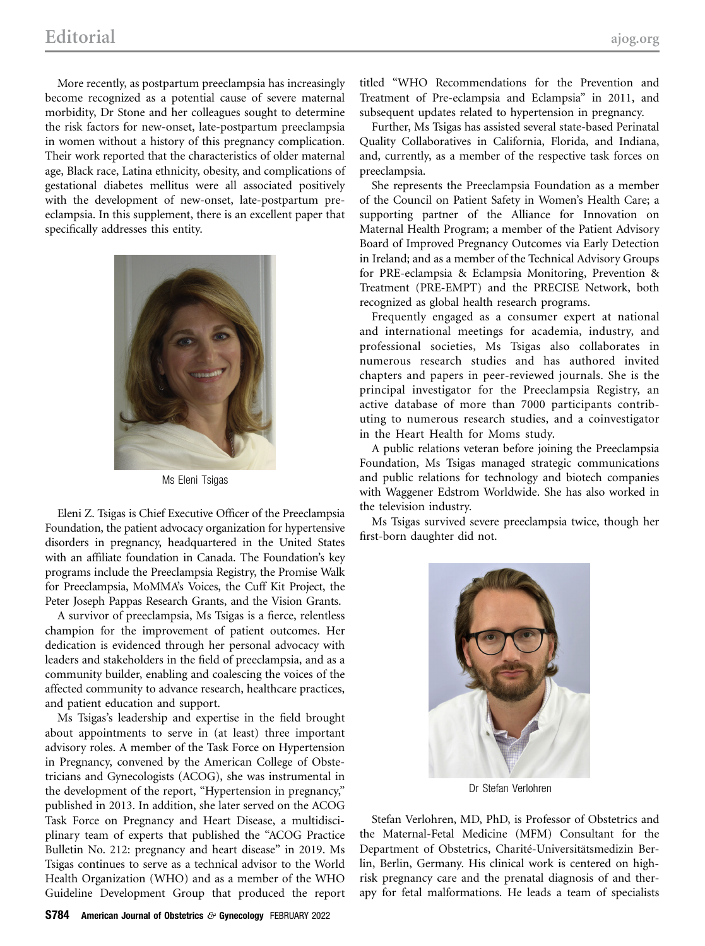More recently, as postpartum preeclampsia has increasingly become recognized as a potential cause of severe maternal morbidity, Dr Stone and her colleagues sought to determine the risk factors for new-onset, late-postpartum preeclampsia in women without a history of this pregnancy complication. Their work reported that the characteristics of older maternal age, Black race, Latina ethnicity, obesity, and complications of gestational diabetes mellitus were all associated positively with the development of new-onset, late-postpartum preeclampsia. In this supplement, there is an excellent paper that specifically addresses this entity.



Ms Eleni Tsigas

Eleni Z. Tsigas is Chief Executive Officer of the Preeclampsia Foundation, the patient advocacy organization for hypertensive disorders in pregnancy, headquartered in the United States with an affiliate foundation in Canada. The Foundation's key programs include the Preeclampsia Registry, the Promise Walk for Preeclampsia, MoMMA's Voices, the Cuff Kit Project, the Peter Joseph Pappas Research Grants, and the Vision Grants.

A survivor of preeclampsia, Ms Tsigas is a fierce, relentless champion for the improvement of patient outcomes. Her dedication is evidenced through her personal advocacy with leaders and stakeholders in the field of preeclampsia, and as a community builder, enabling and coalescing the voices of the affected community to advance research, healthcare practices, and patient education and support.

Ms Tsigas's leadership and expertise in the field brought about appointments to serve in (at least) three important advisory roles. A member of the Task Force on Hypertension in Pregnancy, convened by the American College of Obstetricians and Gynecologists (ACOG), she was instrumental in the development of the report, "Hypertension in pregnancy," published in 2013. In addition, she later served on the ACOG Task Force on Pregnancy and Heart Disease, a multidisciplinary team of experts that published the "ACOG Practice Bulletin No. 212: pregnancy and heart disease" in 2019. Ms Tsigas continues to serve as a technical advisor to the World Health Organization (WHO) and as a member of the WHO Guideline Development Group that produced the report titled "WHO Recommendations for the Prevention and Treatment of Pre-eclampsia and Eclampsia" in 2011, and subsequent updates related to hypertension in pregnancy.

Further, Ms Tsigas has assisted several state-based Perinatal Quality Collaboratives in California, Florida, and Indiana, and, currently, as a member of the respective task forces on preeclampsia.

She represents the Preeclampsia Foundation as a member of the Council on Patient Safety in Women's Health Care; a supporting partner of the Alliance for Innovation on Maternal Health Program; a member of the Patient Advisory Board of Improved Pregnancy Outcomes via Early Detection in Ireland; and as a member of the Technical Advisory Groups for PRE-eclampsia & Eclampsia Monitoring, Prevention & Treatment (PRE-EMPT) and the PRECISE Network, both recognized as global health research programs.

Frequently engaged as a consumer expert at national and international meetings for academia, industry, and professional societies, Ms Tsigas also collaborates in numerous research studies and has authored invited chapters and papers in peer-reviewed journals. She is the principal investigator for the Preeclampsia Registry, an active database of more than 7000 participants contributing to numerous research studies, and a coinvestigator in the Heart Health for Moms study.

A public relations veteran before joining the Preeclampsia Foundation, Ms Tsigas managed strategic communications and public relations for technology and biotech companies with Waggener Edstrom Worldwide. She has also worked in the television industry.

Ms Tsigas survived severe preeclampsia twice, though her first-born daughter did not.



Dr Stefan Verlohren

Stefan Verlohren, MD, PhD, is Professor of Obstetrics and the Maternal-Fetal Medicine (MFM) Consultant for the Department of Obstetrics, Charité-Universitätsmedizin Berlin, Berlin, Germany. His clinical work is centered on highrisk pregnancy care and the prenatal diagnosis of and therapy for fetal malformations. He leads a team of specialists